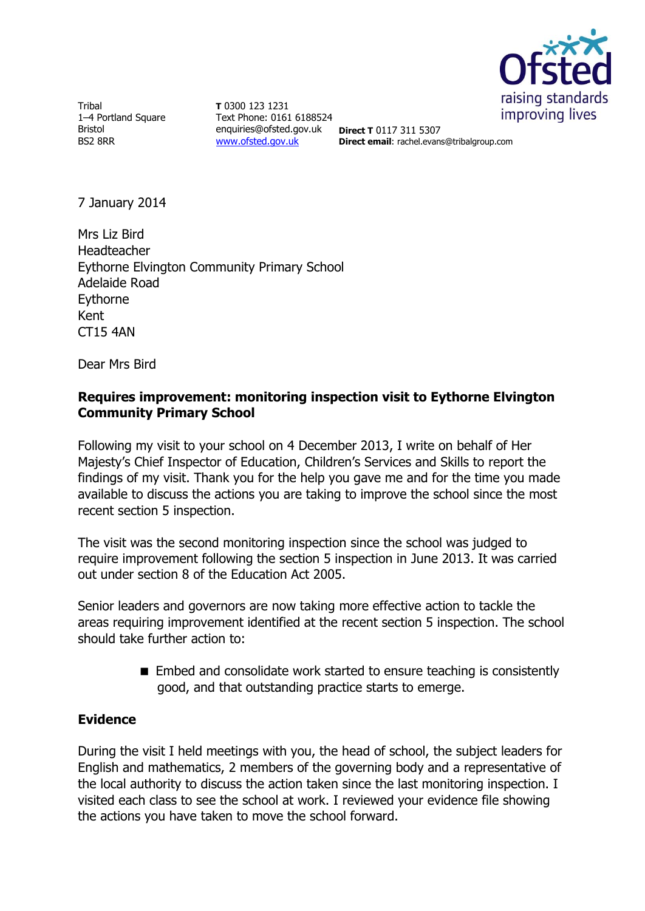

**Tribal** 1–4 Portland Square Bristol BS2 8RR

**T** 0300 123 1231 Text Phone: 0161 6188524 enquiries@ofsted.gov.uk [www.ofsted.gov.uk](http://www.ofsted.gov.uk/)

**Direct T** 0117 311 5307 **Direct email**: rachel.evans@tribalgroup.com

7 January 2014

Mrs Liz Bird Headteacher Eythorne Elvington Community Primary School Adelaide Road Eythorne Kent CT15 4AN

Dear Mrs Bird

### **Requires improvement: monitoring inspection visit to Eythorne Elvington Community Primary School**

Following my visit to your school on 4 December 2013, I write on behalf of Her Majesty's Chief Inspector of Education, Children's Services and Skills to report the findings of my visit. Thank you for the help you gave me and for the time you made available to discuss the actions you are taking to improve the school since the most recent section 5 inspection.

The visit was the second monitoring inspection since the school was judged to require improvement following the section 5 inspection in June 2013. It was carried out under section 8 of the Education Act 2005.

Senior leaders and governors are now taking more effective action to tackle the areas requiring improvement identified at the recent section 5 inspection. The school should take further action to:

> ■ Embed and consolidate work started to ensure teaching is consistently good, and that outstanding practice starts to emerge.

# **Evidence**

During the visit I held meetings with you, the head of school, the subject leaders for English and mathematics, 2 members of the governing body and a representative of the local authority to discuss the action taken since the last monitoring inspection. I visited each class to see the school at work. I reviewed your evidence file showing the actions you have taken to move the school forward.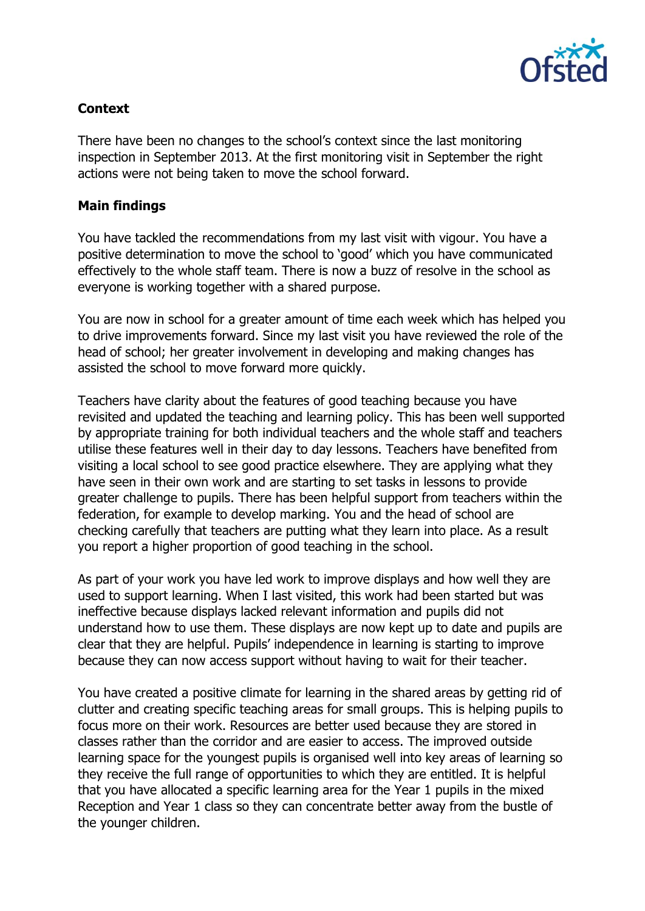

## **Context**

There have been no changes to the school's context since the last monitoring inspection in September 2013. At the first monitoring visit in September the right actions were not being taken to move the school forward.

#### **Main findings**

You have tackled the recommendations from my last visit with vigour. You have a positive determination to move the school to 'good' which you have communicated effectively to the whole staff team. There is now a buzz of resolve in the school as everyone is working together with a shared purpose.

You are now in school for a greater amount of time each week which has helped you to drive improvements forward. Since my last visit you have reviewed the role of the head of school; her greater involvement in developing and making changes has assisted the school to move forward more quickly.

Teachers have clarity about the features of good teaching because you have revisited and updated the teaching and learning policy. This has been well supported by appropriate training for both individual teachers and the whole staff and teachers utilise these features well in their day to day lessons. Teachers have benefited from visiting a local school to see good practice elsewhere. They are applying what they have seen in their own work and are starting to set tasks in lessons to provide greater challenge to pupils. There has been helpful support from teachers within the federation, for example to develop marking. You and the head of school are checking carefully that teachers are putting what they learn into place. As a result you report a higher proportion of good teaching in the school.

As part of your work you have led work to improve displays and how well they are used to support learning. When I last visited, this work had been started but was ineffective because displays lacked relevant information and pupils did not understand how to use them. These displays are now kept up to date and pupils are clear that they are helpful. Pupils' independence in learning is starting to improve because they can now access support without having to wait for their teacher.

You have created a positive climate for learning in the shared areas by getting rid of clutter and creating specific teaching areas for small groups. This is helping pupils to focus more on their work. Resources are better used because they are stored in classes rather than the corridor and are easier to access. The improved outside learning space for the youngest pupils is organised well into key areas of learning so they receive the full range of opportunities to which they are entitled. It is helpful that you have allocated a specific learning area for the Year 1 pupils in the mixed Reception and Year 1 class so they can concentrate better away from the bustle of the younger children.